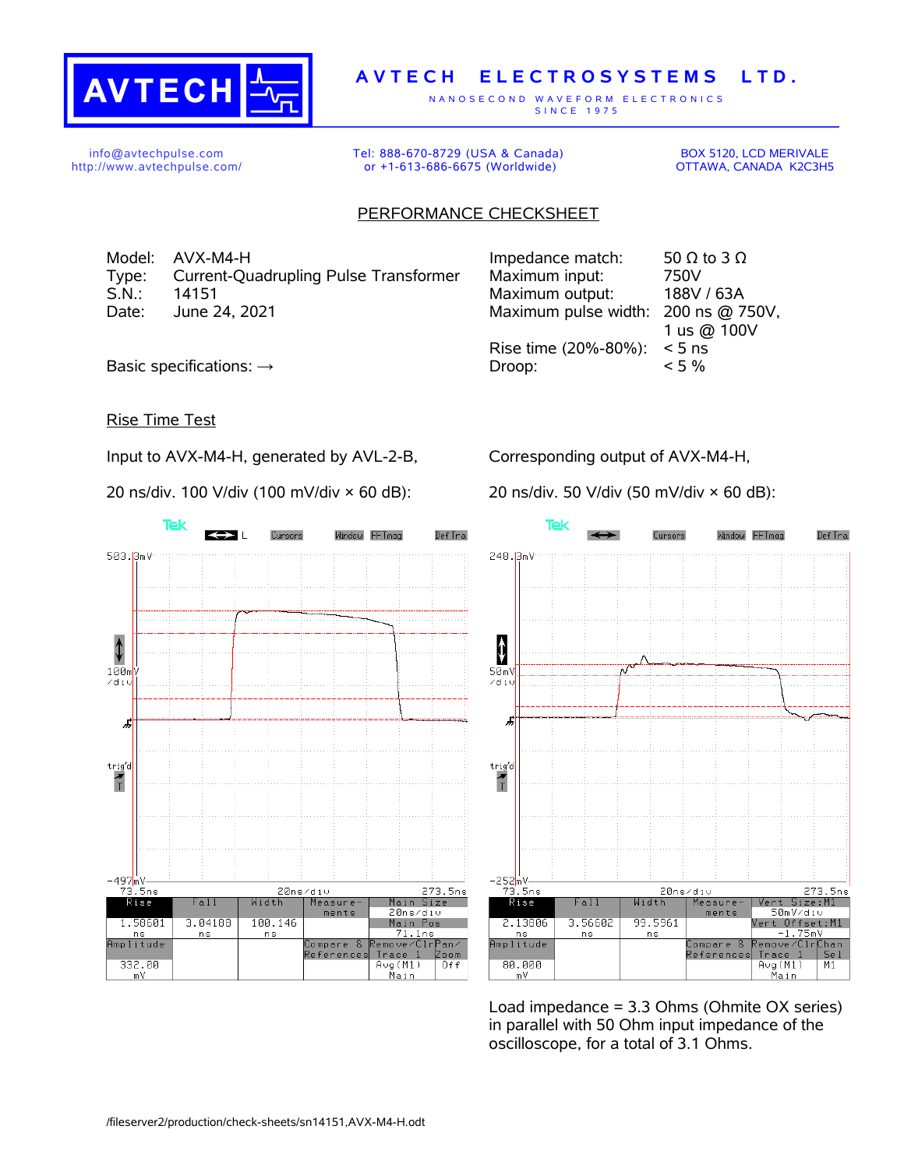

## **A V T E C H E L E C T R O S Y S T E M S L T D .**

N A N O S E C O N D W A V E F O R M E L E C T R O N I C S S IN C E 1975

info@avtechpulse.com http://www.avtechpulse.com/ Tel: 888-670-8729 (USA & Canada) or +1-613-686-6675 (Worldwide)

BOX 5120, LCD MERIVALE OTTAWA, CANADA K2C3H5

## PERFORMANCE CHECKSHEET

Model:  $AVX-M4-H$  Impedance match: 50  $\Omega$  to 3  $\Omega$ Type: Current-Quadrupling Pulse Transformer Maximum input: 750V S.N.: 14151 Maximum output: 188V / 63A Date: June 24, 2021 Maximum pulse width: 200 ns @ 750V,

1 us @ 100V Rise time (20%-80%): < 5 ns Basic specifications:  $\rightarrow$  Droop:  $\sim$  5 %

Rise Time Test

Input to AVX-M4-H, generated by AVL-2-B,

20 ns/div. 100 V/div (100 mV/div × 60 dB):

Corresponding output of AVX-M4-H,

20 ns/div. 50 V/div (50 mV/div × 60 dB):



**Tek** Window FFTmag Def Tra Curence 248.3mV  $\ddagger$  $50mV$  $\angle$ di Æ  $\begin{array}{c}\n\text{trig'd} \\
\hline\n\text{T}\n\end{array}$  $-252$ <sub>m</sub>V <u>73.5ns</u> 20ns/div 273.5ns **Rise** Vert Size:M1<br>50mV⁄di∪  $Fall$ Width Measure ments Vert Offset:M1 2.13806 3.56602 99.5961 <mark>-1.75mV</mark><br>emove⁄Clr<mark>Chan</mark>  $n s$ n s amplitude Compare Reference: Trace  $\overline{1}$ Se 1 80.000 Aug(M1)<br>Main  $M1$ m V

Load impedance = 3.3 Ohms (Ohmite OX series) in parallel with 50 Ohm input impedance of the oscilloscope, for a total of 3.1 Ohms.

/fileserver2/production/check-sheets/sn14151,AVX-M4-H.odt